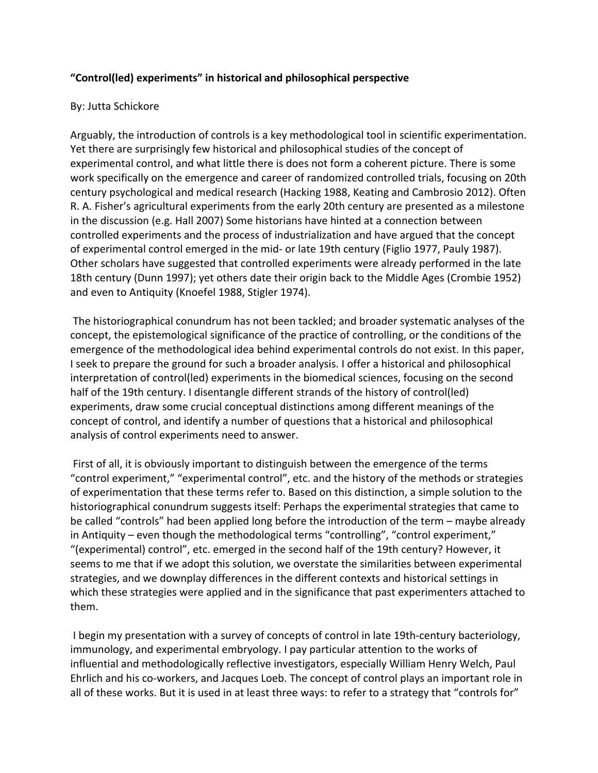## **"Control(led) experiments" in historical and philosophical perspective**

## By: Jutta Schickore

Arguably, the introduction of controls is a key methodological tool in scientific experimentation. Yet there are surprisingly few historical and philosophical studies of the concept of experimental control, and what little there is does not form a coherent picture. There is some work specifically on the emergence and career of randomized controlled trials, focusing on 20th century psychological and medical research (Hacking 1988, Keating and Cambrosio 2012). Often R. A. Fisher's agricultural experiments from the early 20th century are presented as a milestone in the discussion (e.g. Hall 2007) Some historians have hinted at a connection between controlled experiments and the process of industrialization and have argued that the concept of experimental control emerged in the mid- or late 19th century (Figlio 1977, Pauly 1987). Other scholars have suggested that controlled experiments were already performed in the late 18th century (Dunn 1997); yet others date their origin back to the Middle Ages (Crombie 1952) and even to Antiquity (Knoefel 1988, Stigler 1974).

The historiographical conundrum has not been tackled; and broader systematic analyses of the concept, the epistemological significance of the practice of controlling, or the conditions of the emergence of the methodological idea behind experimental controls do not exist. In this paper, I seek to prepare the ground for such a broader analysis. I offer a historical and philosophical interpretation of control(led) experiments in the biomedical sciences, focusing on the second half of the 19th century. I disentangle different strands of the history of control(led) experiments, draw some crucial conceptual distinctions among different meanings of the concept of control, and identify a number of questions that a historical and philosophical analysis of control experiments need to answer.

First of all, it is obviously important to distinguish between the emergence of the terms "control experiment," "experimental control", etc. and the history of the methods or strategies of experimentation that these terms refer to. Based on this distinction, a simple solution to the historiographical conundrum suggests itself: Perhaps the experimental strategies that came to be called "controls" had been applied long before the introduction of the term – maybe already in Antiquity – even though the methodological terms "controlling", "control experiment," "(experimental) control", etc. emerged in the second half of the 19th century? However, it seems to me that if we adopt this solution, we overstate the similarities between experimental strategies, and we downplay differences in the different contexts and historical settings in which these strategies were applied and in the significance that past experimenters attached to them.

I begin my presentation with a survey of concepts of control in late 19th-century bacteriology, immunology, and experimental embryology. I pay particular attention to the works of influential and methodologically reflective investigators, especially William Henry Welch, Paul Ehrlich and his co-workers, and Jacques Loeb. The concept of control plays an important role in all of these works. But it is used in at least three ways: to refer to a strategy that "controls for"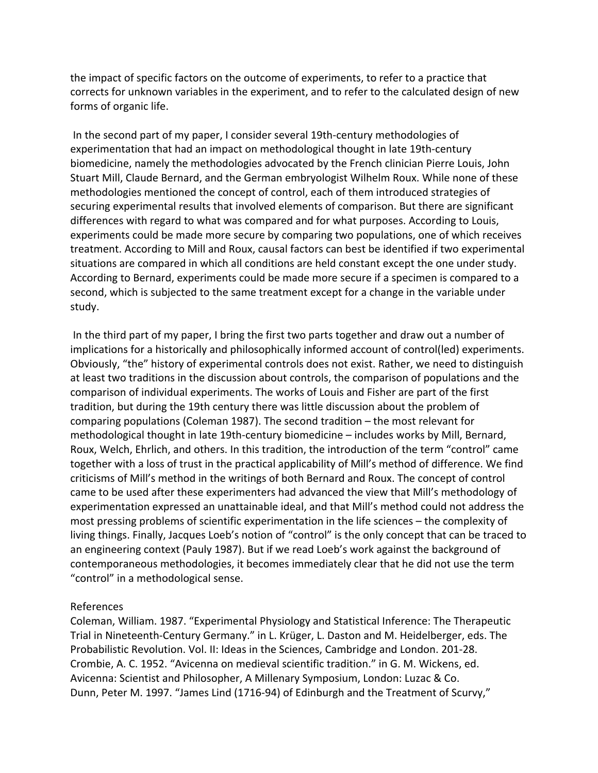the impact of specific factors on the outcome of experiments, to refer to a practice that corrects for unknown variables in the experiment, and to refer to the calculated design of new forms of organic life.

In the second part of my paper, I consider several 19th-century methodologies of experimentation that had an impact on methodological thought in late 19th-century biomedicine, namely the methodologies advocated by the French clinician Pierre Louis, John Stuart Mill, Claude Bernard, and the German embryologist Wilhelm Roux. While none of these methodologies mentioned the concept of control, each of them introduced strategies of securing experimental results that involved elements of comparison. But there are significant differences with regard to what was compared and for what purposes. According to Louis, experiments could be made more secure by comparing two populations, one of which receives treatment. According to Mill and Roux, causal factors can best be identified if two experimental situations are compared in which all conditions are held constant except the one under study. According to Bernard, experiments could be made more secure if a specimen is compared to a second, which is subjected to the same treatment except for a change in the variable under study.

In the third part of my paper, I bring the first two parts together and draw out a number of implications for a historically and philosophically informed account of control(led) experiments. Obviously, "the" history of experimental controls does not exist. Rather, we need to distinguish at least two traditions in the discussion about controls, the comparison of populations and the comparison of individual experiments. The works of Louis and Fisher are part of the first tradition, but during the 19th century there was little discussion about the problem of comparing populations (Coleman 1987). The second tradition – the most relevant for methodological thought in late 19th-century biomedicine – includes works by Mill, Bernard, Roux, Welch, Ehrlich, and others. In this tradition, the introduction of the term "control" came together with a loss of trust in the practical applicability of Mill's method of difference. We find criticisms of Mill's method in the writings of both Bernard and Roux. The concept of control came to be used after these experimenters had advanced the view that Mill's methodology of experimentation expressed an unattainable ideal, and that Mill's method could not address the most pressing problems of scientific experimentation in the life sciences – the complexity of living things. Finally, Jacques Loeb's notion of "control" is the only concept that can be traced to an engineering context (Pauly 1987). But if we read Loeb's work against the background of contemporaneous methodologies, it becomes immediately clear that he did not use the term "control" in a methodological sense.

## References

Coleman, William. 1987. "Experimental Physiology and Statistical Inference: The Therapeutic Trial in Nineteenth-Century Germany." in L. Krüger, L. Daston and M. Heidelberger, eds. The Probabilistic Revolution. Vol. II: Ideas in the Sciences, Cambridge and London. 201-28. Crombie, A. C. 1952. "Avicenna on medieval scientific tradition." in G. M. Wickens, ed. Avicenna: Scientist and Philosopher, A Millenary Symposium, London: Luzac & Co. Dunn, Peter M. 1997. "James Lind (1716-94) of Edinburgh and the Treatment of Scurvy,"